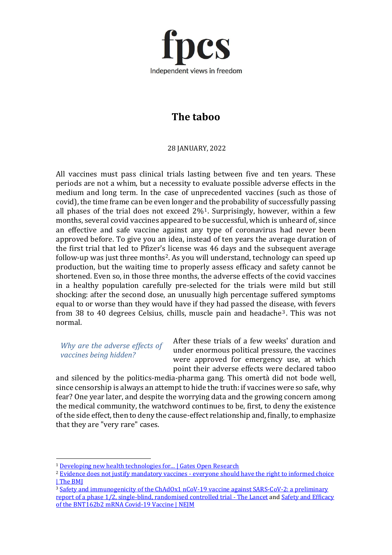

## **The taboo**

28 JANUARY, 2022

All vaccines must pass clinical trials lasting between five and ten years. These periods are not a whim, but a necessity to evaluate possible adverse effects in the medium and long term. In the case of unprecedented vaccines (such as those of covid), the time frame can be even longer and the probability of successfully passing all phases of the trial does not exceed  $2\%$ <sup>1</sup>. Surprisingly, however, within a few months, several covid vaccines appeared to be successful, which is unheard of, since an effective and safe vaccine against any type of coronavirus had never been approved before. To give you an idea, instead of ten years the average duration of the first trial that led to Pfizer's license was 46 days and the subsequent average follow-up was just three months<sup>2</sup>. As you will understand, technology can speed up production, but the waiting time to properly assess efficacy and safety cannot be shortened. Even so, in those three months, the adverse effects of the covid vaccines in a healthy population carefully pre-selected for the trials were mild but still shocking: after the second dose, an unusually high percentage suffered symptoms equal to or worse than they would have if they had passed the disease, with fevers from 38 to 40 degrees Celsius, chills, muscle pain and headache<sup>3</sup>. This was not normal.

*Why are the adverse effects of vaccines being hidden?*

After these trials of a few weeks' duration and under enormous political pressure, the vaccines were approved for emergency use, at which point their adverse effects were declared taboo

and silenced by the politics-media-pharma gang. This omertà did not bode well, since censorship is always an attempt to hide the truth: if vaccines were so safe, why fear? One year later, and despite the worrying data and the growing concern among the medical community, the watchword continues to be, first, to deny the existence of the side effect, then to deny the cause-effect relationship and, finally, to emphasize that they are "very rare" cases.

<sup>1</sup> [Developing new health technologies for... | Gates Open Research](https://gatesopenresearch.org/articles/2-23/v2)

<sup>&</sup>lt;sup>2</sup> Evidence does not justify mandatory vaccines - everyone should have the right to informed choice [| The BMJ](https://www.bmj.com/content/375/bmj.n2957/rr-1)

<sup>3</sup> [Safety and immunogenicity of the ChAdOx1 nCoV-19 vaccine against SARS-CoV-2: a preliminary](https://www.thelancet.com/journals/lancet/article/PIIS0140-6736(20)31604-4/fulltext)  [report of a phase 1/2, single-blind, randomised controlled trial -](https://www.thelancet.com/journals/lancet/article/PIIS0140-6736(20)31604-4/fulltext) The Lancet an[d Safety and Efficacy](https://www.nejm.org/doi/full/10.1056/NEJMoa2034577)  [of the BNT162b2 mRNA Covid-19 Vaccine | NEJM](https://www.nejm.org/doi/full/10.1056/NEJMoa2034577)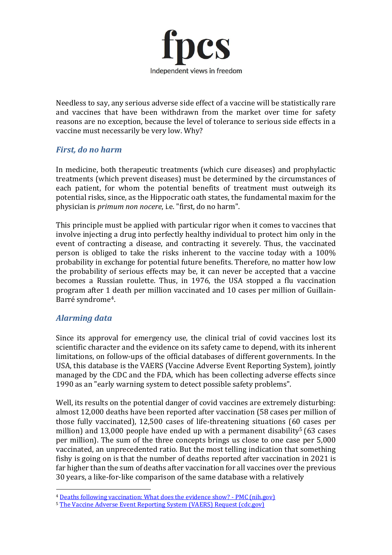

Needless to say, any serious adverse side effect of a vaccine will be statistically rare and vaccines that have been withdrawn from the market over time for safety reasons are no exception, because the level of tolerance to serious side effects in a vaccine must necessarily be very low. Why?

## *First, do no harm*

In medicine, both therapeutic treatments (which cure diseases) and prophylactic treatments (which prevent diseases) must be determined by the circumstances of each patient, for whom the potential benefits of treatment must outweigh its potential risks, since, as the Hippocratic oath states, the fundamental maxim for the physician is *primum non nocere*, i.e. "first, do no harm".

This principle must be applied with particular rigor when it comes to vaccines that involve injecting a drug into perfectly healthy individual to protect him only in the event of contracting a disease, and contracting it severely. Thus, the vaccinated person is obliged to take the risks inherent to the vaccine today with a 100% probability in exchange for potential future benefits. Therefore, no matter how low the probability of serious effects may be, it can never be accepted that a vaccine becomes a Russian roulette. Thus, in 1976, the USA stopped a flu vaccination program after 1 death per million vaccinated and 10 cases per million of Guillain-Barré syndrome4.

## *Alarming data*

Since its approval for emergency use, the clinical trial of covid vaccines lost its scientific character and the evidence on its safety came to depend, with its inherent limitations, on follow-ups of the official databases of different governments. In the USA, this database is the VAERS (Vaccine Adverse Event Reporting System), jointly managed by the CDC and the FDA, which has been collecting adverse effects since 1990 as an "early warning system to detect possible safety problems".

Well, its results on the potential danger of covid vaccines are extremely disturbing: almost 12,000 deaths have been reported after vaccination (58 cases per million of those fully vaccinated), 12,500 cases of life-threatening situations (60 cases per million) and 13,000 people have ended up with a permanent disability<sup>5</sup> (63 cases per million). The sum of the three concepts brings us close to one case per 5,000 vaccinated, an unprecedented ratio. But the most telling indication that something fishy is going on is that the number of deaths reported after vaccination in 2021 is far higher than the sum of deaths after vaccination for all vaccines over the previous 30 years, a like-for-like comparison of the same database with a relatively

<sup>4</sup> [Deaths following vaccination: What does the evidence show? -](https://www.ncbi.nlm.nih.gov/labs/pmc/articles/PMC4599698/) PMC (nih.gov)

<sup>&</sup>lt;sup>5</sup> [The Vaccine Adverse Event Reporting System \(VAERS\) Request \(cdc.gov\)](https://wonder.cdc.gov/vaers.html)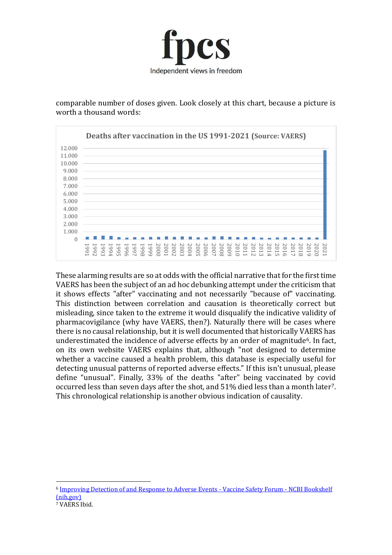

comparable number of doses given. Look closely at this chart, because a picture is worth a thousand words:



These alarming results are so at odds with the official narrative that for the first time VAERS has been the subject of an ad hoc debunking attempt under the criticism that it shows effects "after" vaccinating and not necessarily "because of" vaccinating. This distinction between correlation and causation is theoretically correct but misleading, since taken to the extreme it would disqualify the indicative validity of pharmacovigilance (why have VAERS, then?). Naturally there will be cases where there is no causal relationship, but it is well documented that historically VAERS has underestimated the incidence of adverse effects by an order of magnitude<sup>6</sup>. In fact, on its own website VAERS explains that, although "not designed to determine whether a vaccine caused a health problem, this database is especially useful for detecting unusual patterns of reported adverse effects." If this isn't unusual, please define "unusual". Finally, 33% of the deaths "after" being vaccinated by covid occurred less than seven days after the shot, and 51% died less than a month later7. This chronological relationship is another obvious indication of causality.

<sup>6</sup> [Improving Detection of and Response to Adverse Events -](https://www.ncbi.nlm.nih.gov/books/NBK232983/) Vaccine Safety Forum - NCBI Bookshelf [\(nih.gov\)](https://www.ncbi.nlm.nih.gov/books/NBK232983/)

<sup>7</sup> VAERS Ibid.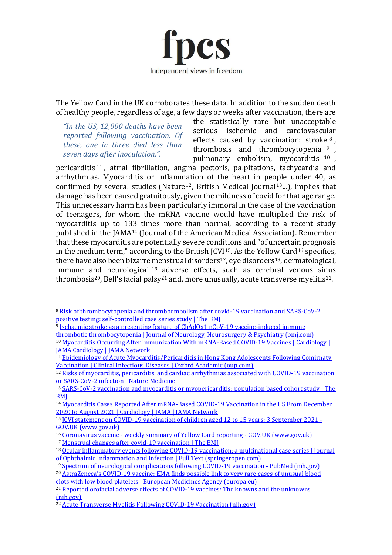

The Yellow Card in the UK corroborates these data. In addition to the sudden death of healthy people, regardless of age, a few days or weeks after vaccination, there are

*"In the US, 12,000 deaths have been reported following vaccination. Of these, one in three died less than seven days after inoculation.".*

the statistically rare but unacceptable serious ischemic and cardiovascular effects caused by vaccination: stroke <sup>8</sup> , thrombosis and thrombocytopenia <sup>9</sup> , pulmonary embolism, myocarditis <sup>10</sup> ,

pericarditis <sup>11</sup> , atrial fibrillation, angina pectoris, palpitations, tachycardia and arrhythmias. Myocarditis or inflammation of the heart in people under 40, as confirmed by several studies (Nature<sup>12</sup>, British Medical Journal<sup>13</sup>...), implies that damage has been caused gratuitously, given the mildness of covid for that age range. This unnecessary harm has been particularly immoral in the case of the vaccination of teenagers, for whom the mRNA vaccine would have multiplied the risk of myocarditis up to 133 times more than normal, according to a recent study published in the JAMA<sup>14</sup> (Journal of the American Medical Association). Remember that these myocarditis are potentially severe conditions and "of uncertain prognosis in the medium term," according to the British JCVI<sup>15</sup>. As the Yellow Card<sup>16</sup> specifies, there have also been bizarre menstrual disorders<sup>17</sup>, eye disorders<sup>18</sup>, dermatological, immune and neurological <sup>19</sup> adverse effects, such as cerebral venous sinus thrombosis<sup>20</sup>, Bell's facial palsy<sup>21</sup> and, more unusually, acute transverse myelitis<sup>22</sup>.

<sup>9</sup> Ischaemic stroke as a presenting feature of ChAdOx1 nCoV-19 vaccine-induced immune

[thrombotic thrombocytopenia | Journal of Neurology, Neurosurgery & Psychiatry \(bmj.com\)](https://jnnp.bmj.com/content/92/11/1247)

<sup>8</sup> [Risk of thrombocytopenia and thromboembolism after covid-19 vaccination and SARS-CoV-2](https://www.bmj.com/content/374/bmj.n1931)  [positive testing: self-controlled case series study | The BMJ](https://www.bmj.com/content/374/bmj.n1931)

<sup>10</sup> [Myocarditis Occurring After Immunization With mRNA-Based COVID-19 Vaccines | Cardiology |](https://jamanetwork.com/journals/jamacardiology/fullarticle/2781600)  [JAMA Cardiology | JAMA Network](https://jamanetwork.com/journals/jamacardiology/fullarticle/2781600)

<sup>&</sup>lt;sup>11</sup> Epidemiology of Acute Myocarditis/Pericarditis in Hong Kong Adolescents Following Comirnaty [Vaccination | Clinical Infectious Diseases | Oxford Academic \(oup.com\)](https://academic.oup.com/cid/advance-article-abstract/doi/10.1093/cid/ciab989/6445179)

<sup>&</sup>lt;sup>12</sup> Risks of myocarditis, pericarditis, and cardiac arrhythmias associated with COVID-19 vaccination [or SARS-CoV-2 infection | Nature Medicine](https://www.nature.com/articles/s41591-021-01630-0)

<sup>13</sup> [SARS-CoV-2 vaccination and myocarditis or myopericarditis: population based cohort study | The](https://www.bmj.com/content/375/bmj-2021-068665)  **BMI** 

<sup>&</sup>lt;sup>14</sup> Myocarditis Cases Reported After mRNA-Based COVID-19 Vaccination in the US From December [2020 to August 2021 | Cardiology | JAMA | JAMA Network](https://jamanetwork.com/journals/jama/fullarticle/2788346)

<sup>15</sup> [JCVI statement on COVID-19 vaccination of children aged 12 to 15 years: 3 September 2021 -](https://www.gov.uk/government/publications/jcvi-statement-september-2021-covid-19-vaccination-of-children-aged-12-to-15-years/jcvi-statement-on-covid-19-vaccination-of-children-aged-12-to-15-years-3-september-2021) [GOV.UK \(www.gov.uk\)](https://www.gov.uk/government/publications/jcvi-statement-september-2021-covid-19-vaccination-of-children-aged-12-to-15-years/jcvi-statement-on-covid-19-vaccination-of-children-aged-12-to-15-years-3-september-2021)

<sup>16</sup> Coronavirus vaccine - [weekly summary of Yellow Card reporting -](https://www.gov.uk/government/publications/coronavirus-covid-19-vaccine-adverse-reactions/coronavirus-vaccine-summary-of-yellow-card-reporting) GOV.UK (www.gov.uk)

<sup>17</sup> Menstrual changes after covid-19 vaccination | The BMI

<sup>&</sup>lt;sup>18</sup> Ocular inflammatory events following COVID-19 vaccination: a multinational case series | Journal [of Ophthalmic Inflammation and Infection | Full Text \(springeropen.com\)](https://joii-journal.springeropen.com/articles/10.1186/s12348-021-00275-x)

<sup>19</sup> [Spectrum of neurological complications following COVID-19 vaccination -](https://pubmed.ncbi.nlm.nih.gov/34719776/) PubMed (nih.gov)

<sup>20</sup> AstraZeneca's COVID[-19 vaccine: EMA finds possible link to very rare cases of unusual blood](https://www.ema.europa.eu/en/news/astrazenecas-covid-19-vaccine-ema-finds-possible-link-very-rare-cases-unusual-blood-clots-low-blood)  [clots with low blood platelets | European Medicines Agency \(europa.eu\)](https://www.ema.europa.eu/en/news/astrazenecas-covid-19-vaccine-ema-finds-possible-link-very-rare-cases-unusual-blood-clots-low-blood)

<sup>&</sup>lt;sup>21</sup> Reported orofacial adverse effects of COVID-19 vaccines: The knowns and the unknowns [\(nih.gov\)](https://www.ncbi.nlm.nih.gov/pmc/articles/PMC8013400/)

<sup>&</sup>lt;sup>22</sup> [Acute Transverse Myelitis Following COVID-19 Vaccination \(nih.gov\)](https://www.ncbi.nlm.nih.gov/pmc/articles/PMC8470728/)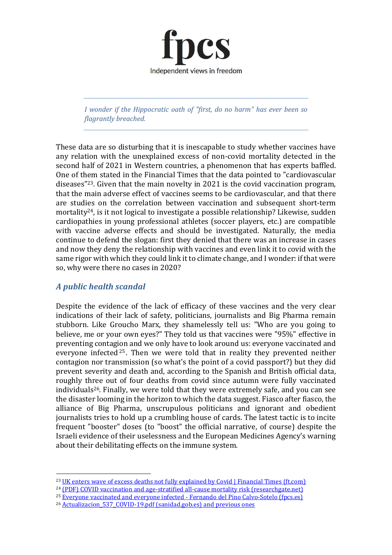

*I wonder if the Hippocratic oath of "first, do no harm" has ever been so flagrantly breached.*

These data are so disturbing that it is inescapable to study whether vaccines have any relation with the unexplained excess of non-covid mortality detected in the second half of 2021 in Western countries, a phenomenon that has experts baffled. One of them stated in the Financial Times that the data pointed to "cardiovascular diseases"23. Given that the main novelty in 2021 is the covid vaccination program, that the main adverse effect of vaccines seems to be cardiovascular, and that there are studies on the correlation between vaccination and subsequent short-term mortality24, is it not logical to investigate a possible relationship? Likewise, sudden cardiopathies in young professional athletes (soccer players, etc.) are compatible with vaccine adverse effects and should be investigated. Naturally, the media continue to defend the slogan: first they denied that there was an increase in cases and now they deny the relationship with vaccines and even link it to covid with the same rigor with which they could link it to climate change, and I wonder: if that were so, why were there no cases in 2020?

## *A public health scandal*

Despite the evidence of the lack of efficacy of these vaccines and the very clear indications of their lack of safety, politicians, journalists and Big Pharma remain stubborn. Like Groucho Marx, they shamelessly tell us: "Who are you going to believe, me or your own eyes?" They told us that vaccines were "95%" effective in preventing contagion and we only have to look around us: everyone vaccinated and everyone infected<sup>25</sup>. Then we were told that in reality they prevented neither contagion nor transmission (so what's the point of a covid passport?) but they did prevent severity and death and, according to the Spanish and British official data, roughly three out of four deaths from covid since autumn were fully vaccinated individuals26. Finally, we were told that they were extremely safe, and you can see the disaster looming in the horizon to which the data suggest. Fiasco after fiasco, the alliance of Big Pharma, unscrupulous politicians and ignorant and obedient journalists tries to hold up a crumbling house of cards. The latest tactic is to incite frequent "booster" doses (to "boost" the official narrative, of course) despite the Israeli evidence of their uselessness and the European Medicines Agency's warning about their debilitating effects on the immune system.

<sup>24</sup> [\(PDF\) COVID vaccination and age-stratified all-cause mortality risk \(researchgate.net\)](https://www.researchgate.net/publication/355581860_COVID_vaccination_and_age-stratified_all-cause_mortality_risk)

<sup>&</sup>lt;sup>23</sup> [UK enters wave of excess deaths not fully explained by Covid | Financial Times \(ft.com\)](https://www.ft.com/content/05e32f95-0e7e-4d2a-b408-6ec6035dea8e)

<sup>25</sup> [Everyone vaccinated and everyone infected -](https://www.fpcs.es/en/everyone-vaccinated-and-everyone-infected/) Fernando del Pino Calvo-Sotelo (fpcs.es)

<sup>&</sup>lt;sup>26</sup> Actualizacion 537 COVID-19.pdf (sanidad.gob.es) and previous ones